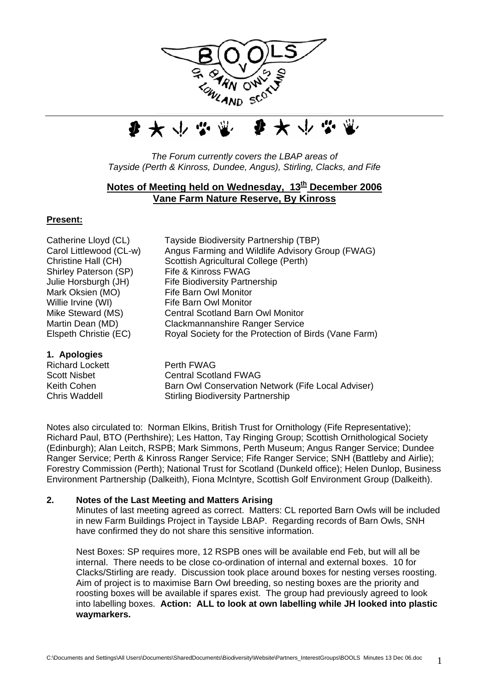



*The Forum currently covers the LBAP areas of Tayside (Perth & Kinross, Dundee, Angus), Stirling, Clacks, and Fife*

# **Notes of Meeting held on Wednesday, 13<sup>th</sup> December 2006 Vane Farm Nature Reserve, By Kinross**

# **Present:**

Shirley Paterson (SP) Fife & Kinross FWAG Mark Oksien (MO) Fife Barn Owl Monitor Willie Irvine (WI) Fife Barn Owl Monitor

**1. Apologies** 

Catherine Lloyd (CL) Tayside Biodiversity Partnership (TBP) Carol Littlewood (CL-w) Angus Farming and Wildlife Advisory Group (FWAG) Christine Hall (CH) Scottish Agricultural College (Perth) Julie Horsburgh (JH) Fife Biodiversity Partnership Mike Steward (MS) Central Scotland Barn Owl Monitor Martin Dean (MD) Clackmannanshire Ranger Service Elspeth Christie (EC) Royal Society for the Protection of Birds (Vane Farm)

Richard Lockett Perth FWAG Scott Nisbet **Central Scotland FWAG** Keith Cohen **Barn Owl Conservation Network (Fife Local Adviser)** Chris Waddell Stirling Biodiversity Partnership

Notes also circulated to: Norman Elkins, British Trust for Ornithology (Fife Representative); Richard Paul, BTO (Perthshire); Les Hatton, Tay Ringing Group; Scottish Ornithological Society (Edinburgh); Alan Leitch, RSPB; Mark Simmons, Perth Museum; Angus Ranger Service; Dundee Ranger Service; Perth & Kinross Ranger Service; Fife Ranger Service; SNH (Battleby and Airlie); Forestry Commission (Perth); National Trust for Scotland (Dunkeld office); Helen Dunlop, Business Environment Partnership (Dalkeith), Fiona McIntyre, Scottish Golf Environment Group (Dalkeith).

# **2. Notes of the Last Meeting and Matters Arising**

Minutes of last meeting agreed as correct. Matters: CL reported Barn Owls will be included in new Farm Buildings Project in Tayside LBAP. Regarding records of Barn Owls, SNH have confirmed they do not share this sensitive information.

Nest Boxes: SP requires more, 12 RSPB ones will be available end Feb, but will all be internal. There needs to be close co-ordination of internal and external boxes. 10 for Clacks/Stirling are ready. Discussion took place around boxes for nesting verses roosting. Aim of project is to maximise Barn Owl breeding, so nesting boxes are the priority and roosting boxes will be available if spares exist. The group had previously agreed to look into labelling boxes. **Action: ALL to look at own labelling while JH looked into plastic waymarkers.**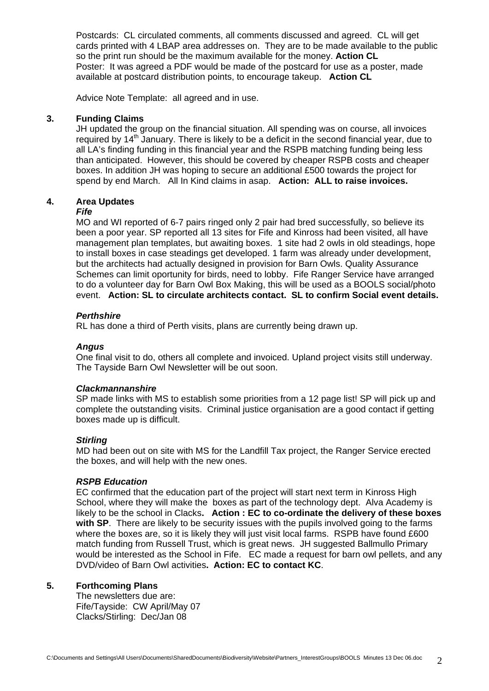Postcards: CL circulated comments, all comments discussed and agreed. CL will get cards printed with 4 LBAP area addresses on. They are to be made available to the public so the print run should be the maximum available for the money. **Action CL**  Poster: It was agreed a PDF would be made of the postcard for use as a poster, made available at postcard distribution points, to encourage takeup. **Action CL** 

Advice Note Template: all agreed and in use.

# **3. Funding Claims**

JH updated the group on the financial situation. All spending was on course, all invoices required by 14<sup>th</sup> January. There is likely to be a deficit in the second financial year, due to all LA's finding funding in this financial year and the RSPB matching funding being less than anticipated. However, this should be covered by cheaper RSPB costs and cheaper boxes. In addition JH was hoping to secure an additional £500 towards the project for spend by end March. All In Kind claims in asap. **Action: ALL to raise invoices.** 

# **4. Area Updates**

#### *Fife*

MO and WI reported of 6-7 pairs ringed only 2 pair had bred successfully, so believe its been a poor year. SP reported all 13 sites for Fife and Kinross had been visited, all have management plan templates, but awaiting boxes. 1 site had 2 owls in old steadings, hope to install boxes in case steadings get developed. 1 farm was already under development, but the architects had actually designed in provision for Barn Owls. Quality Assurance Schemes can limit oportunity for birds, need to lobby. Fife Ranger Service have arranged to do a volunteer day for Barn Owl Box Making, this will be used as a BOOLS social/photo event. **Action: SL to circulate architects contact. SL to confirm Social event details.** 

### *Perthshire*

RL has done a third of Perth visits, plans are currently being drawn up.

#### *Angus*

One final visit to do, others all complete and invoiced. Upland project visits still underway. The Tayside Barn Owl Newsletter will be out soon.

#### *Clackmannanshire*

SP made links with MS to establish some priorities from a 12 page list! SP will pick up and complete the outstanding visits. Criminal justice organisation are a good contact if getting boxes made up is difficult.

#### *Stirling*

MD had been out on site with MS for the Landfill Tax project, the Ranger Service erected the boxes, and will help with the new ones.

#### *RSPB Education*

EC confirmed that the education part of the project will start next term in Kinross High School, where they will make the boxes as part of the technology dept. Alva Academy is likely to be the school in Clacks**. Action : EC to co-ordinate the delivery of these boxes with SP**. There are likely to be security issues with the pupils involved going to the farms where the boxes are, so it is likely they will just visit local farms. RSPB have found £600 match funding from Russell Trust, which is great news. JH suggested Ballmullo Primary would be interested as the School in Fife. EC made a request for barn owl pellets, and any DVD/video of Barn Owl activities**. Action: EC to contact KC**.

#### **5. Forthcoming Plans**

The newsletters due are: Fife/Tayside: CW April/May 07 Clacks/Stirling: Dec/Jan 08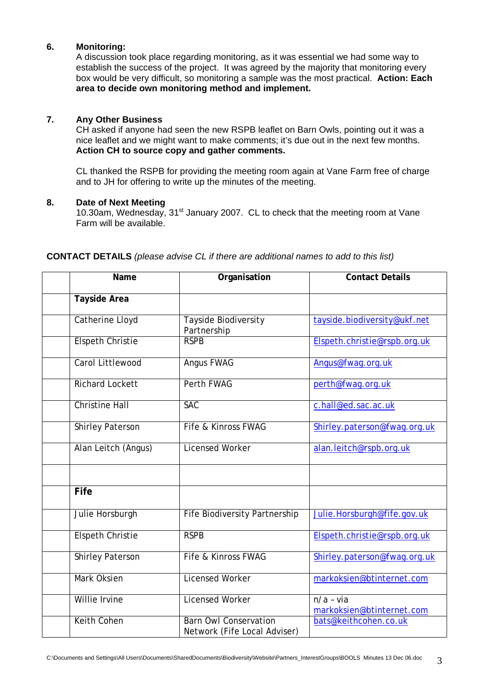## **6. Monitoring:**

A discussion took place regarding monitoring, as it was essential we had some way to establish the success of the project. It was agreed by the majority that monitoring every box would be very difficult, so monitoring a sample was the most practical. **Action: Each area to decide own monitoring method and implement.** 

### **7. Any Other Business**

CH asked if anyone had seen the new RSPB leaflet on Barn Owls, pointing out it was a nice leaflet and we might want to make comments; it's due out in the next few months. **Action CH to source copy and gather comments.** 

CL thanked the RSPB for providing the meeting room again at Vane Farm free of charge and to JH for offering to write up the minutes of the meeting.

#### **8. Date of Next Meeting**

10.30am, Wednesday, 31<sup>st</sup> January 2007. CL to check that the meeting room at Vane Farm will be available.

| Name                    | Organisation                                                 | <b>Contact Details</b>                   |
|-------------------------|--------------------------------------------------------------|------------------------------------------|
| <b>Tayside Area</b>     |                                                              |                                          |
| <b>Catherine Lloyd</b>  | Tayside Biodiversity<br>Partnership                          | tayside.biodiversity@ukf.net             |
| <b>Elspeth Christie</b> | <b>RSPB</b>                                                  | Elspeth.christie@rspb.org.uk             |
| Carol Littlewood        | <b>Angus FWAG</b>                                            | Angus@fwag.org.uk                        |
| <b>Richard Lockett</b>  | <b>Perth FWAG</b>                                            | perth@fwag.org.uk                        |
| <b>Christine Hall</b>   | <b>SAC</b>                                                   | c.hall@ed.sac.ac.uk                      |
| <b>Shirley Paterson</b> | Fife & Kinross FWAG                                          | Shirley.paterson@fwag.org.uk             |
| Alan Leitch (Angus)     | <b>Licensed Worker</b>                                       | alan.leitch@rspb.org.uk                  |
|                         |                                                              |                                          |
| <b>Fife</b>             |                                                              |                                          |
| Julie Horsburgh         | <b>Fife Biodiversity Partnership</b>                         | Julie.Horsburgh@fife.gov.uk              |
| <b>Elspeth Christie</b> | <b>RSPB</b>                                                  | Elspeth.christie@rspb.org.uk             |
| <b>Shirley Paterson</b> | Fife & Kinross FWAG                                          | Shirley.paterson@fwag.org.uk             |
| Mark Oksien             | <b>Licensed Worker</b>                                       | markoksien@btinternet.com                |
| Willie Irvine           | <b>Licensed Worker</b>                                       | $n/a - via$<br>markoksien@btinternet.com |
| <b>Keith Cohen</b>      | <b>Barn Owl Conservation</b><br>Network (Fife Local Adviser) | bats@keithcohen.co.uk                    |

#### **CONTACT DETAILS** *(please advise CL if there are additional names to add to this list)*